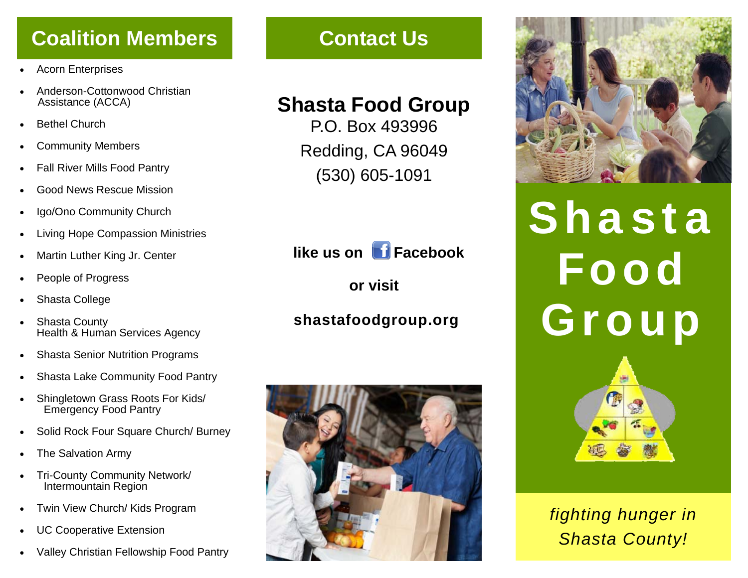## **Coalition Members**

- $\bullet$ Acorn Enterprises
- $\bullet$  Anderson-Cottonwood Christian Assistance (ACCA)
- $\bullet$ Bethel Church
- $\bullet$ Community Members
- $\bullet$ Fall River Mills Food Pantry
- $\bullet$ Good News Rescue Mission
- $\bullet$ Igo/Ono Community Church
- $\bullet$ Living Hope Compassion Ministries
- $\bullet$ Martin Luther King Jr. Center
- $\bullet$ People of Progress
- $\bullet$ Shasta College
- $\bullet$  Shasta County Health & Human Services Agency
- $\bullet$ Shasta Senior Nutrition Programs
- $\bullet$ Shasta Lake Community Food Pantry
- $\bullet$  Shingletown Grass Roots For Kids/ Emergency Food Pantry
- $\bullet$ Solid Rock Four Square Church/ Burney
- $\bullet$ The Salvation Army
- $\bullet$  Tri-County Community Network/ Intermountain Region
- $\bullet$ Twin View Church/ Kids Program
- $\bullet$ UC Cooperative Extension
- $\bullet$ Valley Christian Fellowship Food Pantry

## **Contact Us**

## **Shasta Food Group**

P.O. Box 493996 Redding, CA 96049 (530) 605-1091



**or visit** 

## **shastafoodgroup.org**





# Shasta Food Group



*fighting hunger in Shasta County!*